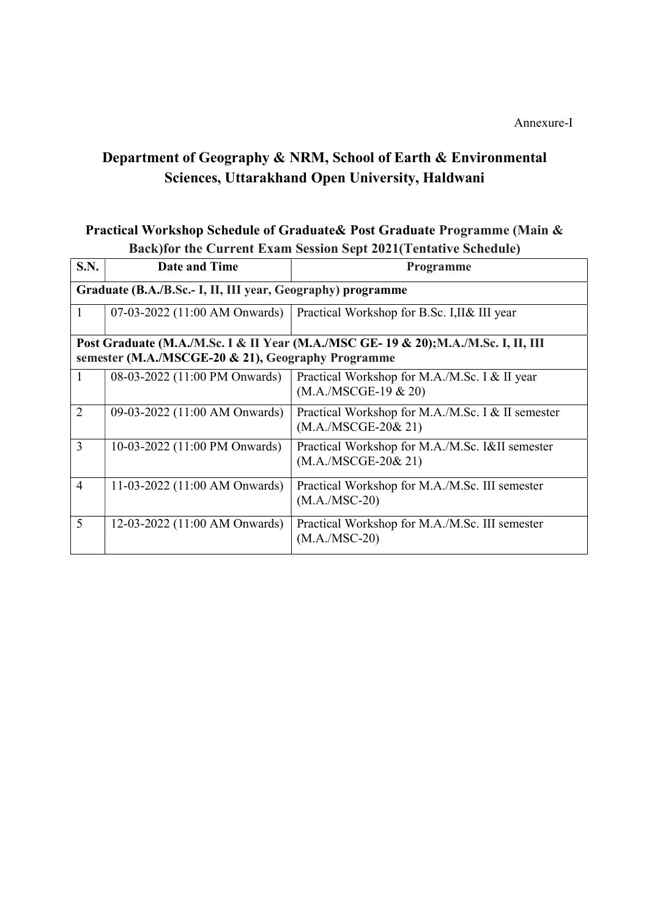## Department of Geography & NRM, School of Earth & Environmental Sciences, Uttarakhand Open University, Haldwani

## Practical Workshop Schedule of Graduate& Post Graduate Programme (Main & Back)for the Current Exam Session Sept 2021(Tentative Schedule)

| S.N.                                                                                                                                      | <b>Date and Time</b>          | <b>Programme</b>                                                          |  |  |
|-------------------------------------------------------------------------------------------------------------------------------------------|-------------------------------|---------------------------------------------------------------------------|--|--|
| Graduate (B.A./B.Sc.- I, II, III year, Geography) programme                                                                               |                               |                                                                           |  |  |
| 1                                                                                                                                         | 07-03-2022 (11:00 AM Onwards) | Practical Workshop for B.Sc. I, II& III year                              |  |  |
| Post Graduate (M.A./M.Sc. I & II Year (M.A./MSC GE- 19 & 20); M.A./M.Sc. I, II, III<br>semester (M.A./MSCGE-20 & 21), Geography Programme |                               |                                                                           |  |  |
| $\mathbf{1}$                                                                                                                              | 08-03-2022 (11:00 PM Onwards) | Practical Workshop for M.A./M.Sc. I & II year<br>$(M.A./MSCGE-19 \& 20)$  |  |  |
| $\overline{2}$                                                                                                                            | 09-03-2022 (11:00 AM Onwards) | Practical Workshop for M.A./M.Sc. I & II semester<br>$(M.A./MSCGE-20&21)$ |  |  |
| $\overline{3}$                                                                                                                            | 10-03-2022 (11:00 PM Onwards) | Practical Workshop for M.A./M.Sc. I&II semester<br>$(M.A./MSCGE-20&21)$   |  |  |
| $\overline{4}$                                                                                                                            | 11-03-2022 (11:00 AM Onwards) | Practical Workshop for M.A./M.Sc. III semester<br>$(M.A./MSC-20)$         |  |  |
| 5                                                                                                                                         | 12-03-2022 (11:00 AM Onwards) | Practical Workshop for M.A./M.Sc. III semester<br>$(M.A./MSC-20)$         |  |  |